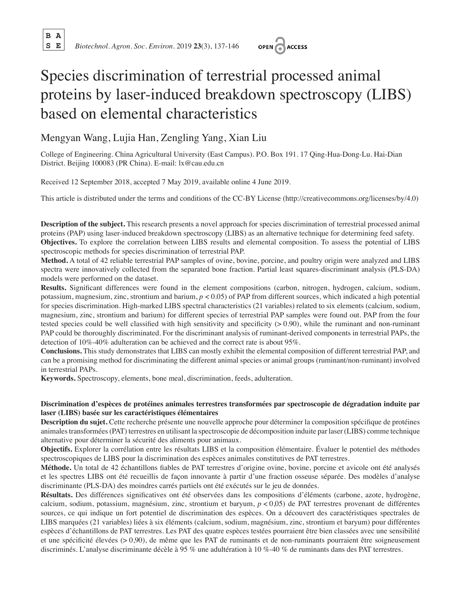**B A**

**S E** *Biotechnol. Agron. Soc. Environ.* 2019 **23**(3), 137-146



# Species discrimination of terrestrial processed animal proteins by laser-induced breakdown spectroscopy (LIBS) based on elemental characteristics

# Mengyan Wang, Lujia Han, Zengling Yang, Xian Liu

College of Engineering. China Agricultural University (East Campus). P.O. Box 191. 17 Qing-Hua-Dong-Lu. Hai-Dian District. Beijing 100083 (PR China). E-mail: lx@cau.edu.cn

Received 12 September 2018, accepted 7 May 2019, available online 4 June 2019.

This article is distributed under the terms and conditions of the CC-BY License (http://creativecommons.org/licenses/by/4.0)

**Description of the subject.** This research presents a novel approach for species discrimination of terrestrial processed animal proteins (PAP) using laser-induced breakdown spectroscopy (LIBS) as an alternative technique for determining feed safety. **Objectives.** To explore the correlation between LIBS results and elemental composition. To assess the potential of LIBS spectroscopic methods for species discrimination of terrestrial PAP.

**Method.** A total of 42 reliable terrestrial PAP samples of ovine, bovine, porcine, and poultry origin were analyzed and LIBS spectra were innovatively collected from the separated bone fraction. Partial least squares-discriminant analysis (PLS-DA) models were performed on the dataset.

**Results.** Significant differences were found in the element compositions (carbon, nitrogen, hydrogen, calcium, sodium, potassium, magnesium, zinc, strontium and barium, *p* < 0.05) of PAP from different sources, which indicated a high potential for species discrimination. High-marked LIBS spectral characteristics (21 variables) related to six elements (calcium, sodium, magnesium, zinc, strontium and barium) for different species of terrestrial PAP samples were found out. PAP from the four tested species could be well classified with high sensitivity and specificity  $(> 0.90)$ , while the ruminant and non-ruminant PAP could be thoroughly discriminated. For the discriminant analysis of ruminant-derived components in terrestrial PAPs, the detection of 10%-40% adulteration can be achieved and the correct rate is about 95%.

**Conclusions.** This study demonstrates that LIBS can mostly exhibit the elemental composition of different terrestrial PAP, and can be a promising method for discriminating the different animal species or animal groups (ruminant/non-ruminant) involved in terrestrial PAPs.

**Keywords.** Spectroscopy, elements, bone meal, discrimination, feeds, adulteration.

# **Discrimination d'espèces de protéines animales terrestres transformées par spectroscopie de dégradation induite par laser (LIBS) basée sur les caractéristiques élémentaires**

**Description du sujet.** Cette recherche présente une nouvelle approche pour déterminer la composition spécifique de protéines animales transformées (PAT) terrestres en utilisant la spectroscopie de décomposition induite par laser (LIBS) comme technique alternative pour déterminer la sécurité des aliments pour animaux.

**Objectifs.** Explorer la corrélation entre les résultats LIBS et la composition élémentaire. Évaluer le potentiel des méthodes spectroscopiques de LIBS pour la discrimination des espèces animales constitutives de PAT terrestres.

**Méthode.** Un total de 42 échantillons fiables de PAT terrestres d'origine ovine, bovine, porcine et avicole ont été analysés et les spectres LIBS ont été recueillis de façon innovante à partir d'une fraction osseuse séparée. Des modèles d'analyse discriminante (PLS-DA) des moindres carrés partiels ont été exécutés sur le jeu de données.

**Résultats.** Des différences significatives ont été observées dans les compositions d'éléments (carbone, azote, hydrogène, calcium, sodium, potassium, magnésium, zinc, strontium et baryum, *p* < 0,05) de PAT terrestres provenant de différentes sources, ce qui indique un fort potentiel de discrimination des espèces. On a découvert des caractéristiques spectrales de LIBS marquées (21 variables) liées à six éléments (calcium, sodium, magnésium, zinc, strontium et baryum) pour différentes espèces d'échantillons de PAT terrestres. Les PAT des quatre espèces testées pourraient être bien classées avec une sensibilité et une spécificité élevées (> 0,90), de même que les PAT de ruminants et de non-ruminants pourraient être soigneusement discriminés. L'analyse discriminante décèle à 95 % une adultération à 10 %-40 % de ruminants dans des PAT terrestres.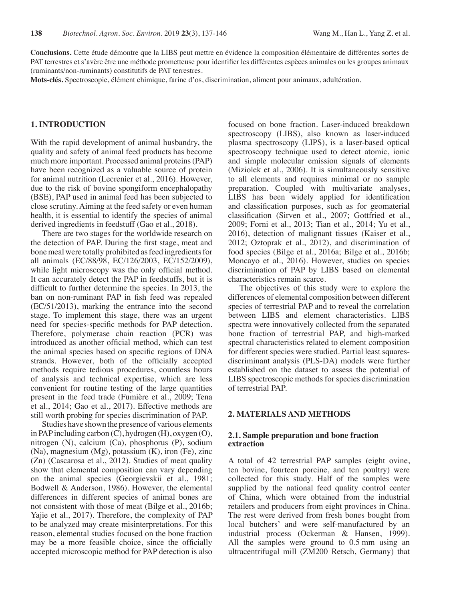**Conclusions.** Cette étude démontre que la LIBS peut mettre en évidence la composition élémentaire de différentes sortes de PAT terrestres et s'avère être une méthode prometteuse pour identifier les différentes espèces animales ou les groupes animaux (ruminants/non-ruminants) constitutifs de PAT terrestres.

**Mots-clés.** Spectroscopie, élément chimique, farine d'os, discrimination, aliment pour animaux, adultération.

# **1. INTRODUCTION**

With the rapid development of animal husbandry, the quality and safety of animal feed products has become much more important. Processed animal proteins (PAP) have been recognized as a valuable source of protein for animal nutrition (Lecrenier et al., 2016). However, due to the risk of bovine spongiform encephalopathy (BSE), PAP used in animal feed has been subjected to close scrutiny. Aiming at the feed safety or even human health, it is essential to identify the species of animal derived ingredients in feedstuff (Gao et al., 2018).

There are two stages for the worldwide research on the detection of PAP. During the first stage, meat and bone meal were totally prohibited as feed ingredients for all animals (EC/88/98, EC/126/2003, EC/152/2009), while light microscopy was the only official method. It can accurately detect the PAP in feedstuffs, but it is difficult to further determine the species. In 2013, the ban on non-ruminant PAP in fish feed was repealed (EC/51/2013), marking the entrance into the second stage. To implement this stage, there was an urgent need for species-specific methods for PAP detection. Therefore, polymerase chain reaction (PCR) was introduced as another official method, which can test the animal species based on specific regions of DNA strands. However, both of the officially accepted methods require tedious procedures, countless hours of analysis and technical expertise, which are less convenient for routine testing of the large quantities present in the feed trade (Fumière et al., 2009; Tena et al., 2014; Gao et al., 2017). Effective methods are still worth probing for species discrimination of PAP.

Studies have shown the presence of various elements in PAP including carbon (C), hydrogen (H), oxygen (O), nitrogen (N), calcium (Ca), phosphorus (P), sodium (Na), magnesium (Mg), potassium (K), iron (Fe), zinc (Zn) (Cascarosa et al., 2012). Studies of meat quality show that elemental composition can vary depending on the animal species (Georgievskii et al., 1981; Bodwell & Anderson, 1986). However, the elemental differences in different species of animal bones are not consistent with those of meat (Bilge et al., 2016b; Yajie et al., 2017). Therefore, the complexity of PAP to be analyzed may create misinterpretations. For this reason, elemental studies focused on the bone fraction may be a more feasible choice, since the officially accepted microscopic method for PAP detection is also focused on bone fraction. Laser-induced breakdown spectroscopy (LIBS), also known as laser-induced plasma spectroscopy (LIPS), is a laser-based optical spectroscopy technique used to detect atomic, ionic and simple molecular emission signals of elements (Miziolek et al., 2006). It is simultaneously sensitive to all elements and requires minimal or no sample preparation. Coupled with multivariate analyses, LIBS has been widely applied for identification and classification purposes, such as for geomaterial classification (Sirven et al., 2007; Gottfried et al., 2009; Forni et al., 2013; Tian et al., 2014; Yu et al., 2016), detection of malignant tissues (Kaiser et al., 2012; Oztoprak et al., 2012), and discrimination of food species (Bilge et al., 2016a; Bilge et al., 2016b; Moncayo et al., 2016). However, studies on species discrimination of PAP by LIBS based on elemental characteristics remain scarce.

The objectives of this study were to explore the differences of elemental composition between different species of terrestrial PAP and to reveal the correlation between LIBS and element characteristics. LIBS spectra were innovatively collected from the separated bone fraction of terrestrial PAP, and high-marked spectral characteristics related to element composition for different species were studied. Partial least squaresdiscriminant analysis (PLS-DA) models were further established on the dataset to assess the potential of LIBS spectroscopic methods for species discrimination of terrestrial PAP.

## **2. MATERIALS AND METHODS**

### **2.1. Sample preparation and bone fraction extraction**

A total of 42 terrestrial PAP samples (eight ovine, ten bovine, fourteen porcine, and ten poultry) were collected for this study. Half of the samples were supplied by the national feed quality control center of China, which were obtained from the industrial retailers and producers from eight provinces in China. The rest were derived from fresh bones bought from local butchers' and were self-manufactured by an industrial process (Ockerman & Hansen, 1999). All the samples were ground to 0.5 mm using an ultracentrifugal mill (ZM200 Retsch, Germany) that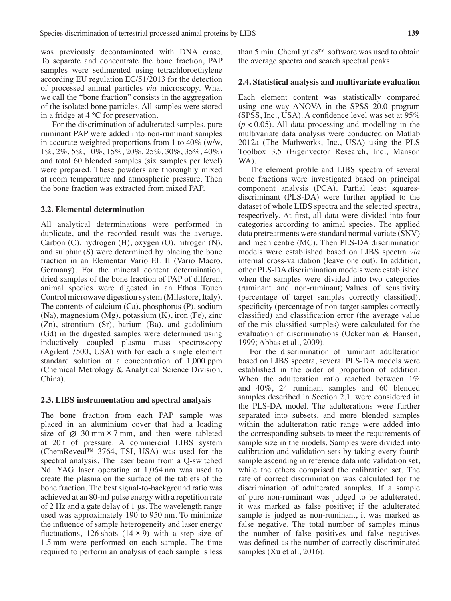was previously decontaminated with DNA erase. To separate and concentrate the bone fraction, PAP samples were sedimented using tetrachloroethylene according EU regulation EC/51/2013 for the detection of processed animal particles *via* microscopy. What we call the "bone fraction" consists in the aggregation of the isolated bone particles. All samples were stored in a fridge at 4 °C for preservation.

For the discrimination of adulterated samples, pure ruminant PAP were added into non-ruminant samples in accurate weighted proportions from 1 to 40% (w/w, 1%, 2%, 5%, 10%, 15%, 20%, 25%, 30%, 35%, 40%) and total 60 blended samples (six samples per level) were prepared. These powders are thoroughly mixed at room temperature and atmospheric pressure. Then the bone fraction was extracted from mixed PAP.

#### **2.2. Elemental determination**

All analytical determinations were performed in duplicate, and the recorded result was the average. Carbon (C), hydrogen (H), oxygen (O), nitrogen (N), and sulphur (S) were determined by placing the bone fraction in an Elementar Vario EL II (Vario Macro, Germany). For the mineral content determination, dried samples of the bone fraction of PAP of different animal species were digested in an Ethos Touch Control microwave digestion system (Milestore, Italy). The contents of calcium (Ca), phosphorus (P), sodium (Na), magnesium (Mg), potassium (K), iron (Fe), zinc (Zn), strontium (Sr), barium (Ba), and gadolinium (Gd) in the digested samples were determined using inductively coupled plasma mass spectroscopy (Agilent 7500, USA) with for each a single element standard solution at a concentration of 1,000 ppm (Chemical Metrology & Analytical Science Division, China).

#### **2.3. LIBS instrumentation and spectral analysis**

The bone fraction from each PAP sample was placed in an aluminium cover that had a loading size of  $\varnothing$  30 mm  $\times$  7 mm, and then were tableted at 20 t of pressure. A commercial LIBS system (ChemReveal™-3764, TSI, USA) was used for the spectral analysis. The laser beam from a Q-switched Nd: YAG laser operating at 1,064 nm was used to create the plasma on the surface of the tablets of the bone fraction. The best signal-to-background ratio was achieved at an 80-mJ pulse energy with a repetition rate of 2 Hz and a gate delay of 1 μs. The wavelength range used was approximately 190 to 950 nm. To minimize the influence of sample heterogeneity and laser energy fluctuations, 126 shots  $(14 \times 9)$  with a step size of 1.5 mm were performed on each sample. The time required to perform an analysis of each sample is less

than 5 min. ChemLytics™ software was used to obtain the average spectra and search spectral peaks.

#### **2.4. Statistical analysis and multivariate evaluation**

Each element content was statistically compared using one-way ANOVA in the SPSS 20.0 program (SPSS, Inc., USA). A confidence level was set at 95%  $(p < 0.05)$ . All data processing and modelling in the multivariate data analysis were conducted on Matlab 2012a (The Mathworks, Inc., USA) using the PLS Toolbox 3.5 (Eigenvector Research, Inc., Manson WA).

The element profile and LIBS spectra of several bone fractions were investigated based on principal component analysis (PCA). Partial least squaresdiscriminant (PLS-DA) were further applied to the dataset of whole LIBS spectra and the selected spectra, respectively. At first, all data were divided into four categories according to animal species. The applied data pretreatments were standard normal variate (SNV) and mean centre (MC). Then PLS-DA discrimination models were established based on LIBS spectra *via* internal cross-validation (leave one out). In addition, other PLS-DA discrimination models were established when the samples were divided into two categories (ruminant and non-ruminant).Values of sensitivity (percentage of target samples correctly classified), specificity (percentage of non-target samples correctly classified) and classification error (the average value of the mis-classified samples) were calculated for the evaluation of discriminations (Ockerman & Hansen, 1999; Abbas et al., 2009).

For the discrimination of ruminant adulteration based on LIBS spectra, several PLS-DA models were established in the order of proportion of addition. When the adulteration ratio reached between 1% and 40%, 24 ruminant samples and 60 blended samples described in Section 2.1. were considered in the PLS-DA model. The adulterations were further separated into subsets, and more blended samples within the adulteration ratio range were added into the corresponding subsets to meet the requirements of sample size in the models. Samples were divided into calibration and validation sets by taking every fourth sample ascending in reference data into validation set, while the others comprised the calibration set. The rate of correct discrimination was calculated for the discrimination of adulterated samples. If a sample of pure non-ruminant was judged to be adulterated, it was marked as false positive; if the adulterated sample is judged as non-ruminant, it was marked as false negative. The total number of samples minus the number of false positives and false negatives was defined as the number of correctly discriminated samples (Xu et al., 2016).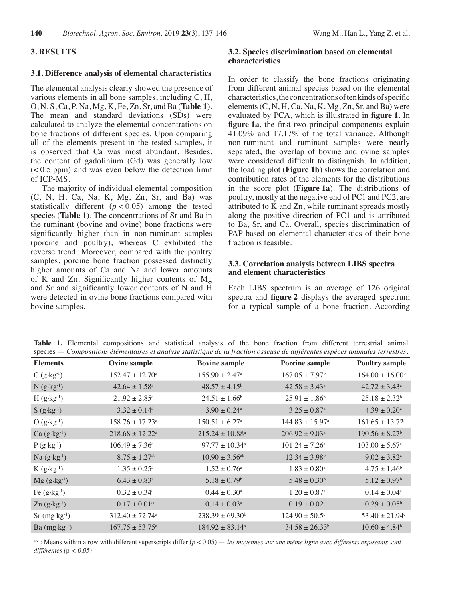## **3. RESULTS**

#### **3.1. Difference analysis of elemental characteristics**

The elemental analysis clearly showed the presence of various elements in all bone samples, including C, H, O, N, S, Ca, P, Na, Mg, K, Fe, Zn, Sr, and Ba (**Table 1**). The mean and standard deviations (SDs) were calculated to analyze the elemental concentrations on bone fractions of different species. Upon comparing all of the elements present in the tested samples, it is observed that Ca was most abundant. Besides, the content of gadolinium (Gd) was generally low  $(< 0.5$  ppm) and was even below the detection limit of ICP-MS.

The majority of individual elemental composition  $(C, N, H, Ca, Na, K, Mg, Zn, Sr, and Ba)$  was statistically different  $(p < 0.05)$  among the tested species (**Table 1**). The concentrations of Sr and Ba in the ruminant (bovine and ovine) bone fractions were significantly higher than in non-ruminant samples (porcine and poultry), whereas C exhibited the reverse trend. Moreover, compared with the poultry samples, porcine bone fraction possessed distinctly higher amounts of Ca and Na and lower amounts of K and Zn. Significantly higher contents of Mg and Sr and significantly lower contents of N and H were detected in ovine bone fractions compared with bovine samples.

# **3.2. Species discrimination based on elemental characteristics**

In order to classify the bone fractions originating from different animal species based on the elemental characteristics, the concentrations of ten kinds of specific elements  $(C, N, H, Ca, Na, K, Mg, Zn, Sr, and Ba)$  were evaluated by PCA, which is illustrated in **figure 1**. In **figure 1a**, the first two principal components explain 41.09% and 17.17% of the total variance. Although non-ruminant and ruminant samples were nearly separated, the overlap of bovine and ovine samples were considered difficult to distinguish. In addition, the loading plot (**Figure 1b**) shows the correlation and contribution rates of the elements for the distributions in the score plot (**Figure 1a**). The distributions of poultry, mostly at the negative end of PC1 and PC2, are attributed to K and Zn, while ruminant spreads mostly along the positive direction of PC1 and is attributed to Ba, Sr, and Ca. Overall, species discrimination of PAP based on elemental characteristics of their bone fraction is feasible.

#### **3.3. Correlation analysis between LIBS spectra and element characteristics**

Each LIBS spectrum is an average of 126 original spectra and **figure 2** displays the averaged spectrum for a typical sample of a bone fraction. According

| <b>Elements</b>                     | Ovine sample                    | <b>Bovine sample</b>            | <b>Porcine sample</b>           | <b>Poultry sample</b>           |
|-------------------------------------|---------------------------------|---------------------------------|---------------------------------|---------------------------------|
| $C(g \cdot kg^{-1})$                | $152.47 \pm 12.70^{\circ}$      | $155.90 \pm 2.47^{\circ}$       | $167.05 \pm 7.97$ <sup>b</sup>  | $164.00 \pm 16.00^b$            |
| $N(g \cdot kg^{-1})$                | $42.64 \pm 1.58$ <sup>a</sup>   | $48.57 \pm 4.15^b$              | $42.58 \pm 3.43^a$              | $42.72 \pm 3.43^{\circ}$        |
| $H(g \cdot kg^{-1})$                | $21.92 \pm 2.85^{\circ}$        | $24.51 \pm 1.66$ <sup>b</sup>   | $25.91 \pm 1.86^b$              | $25.18 \pm 2.32^b$              |
| $S(g \cdot kg^{-1})$                | $3.32 \pm 0.14$ <sup>a</sup>    | $3.90 \pm 0.24$ <sup>a</sup>    | $3.25 \pm 0.87$ <sup>a</sup>    | $4.39 \pm 0.20^{\text{a}}$      |
| $O(g \cdot kg^{-1})$                | $158.76 \pm 17.23$ <sup>a</sup> | $150.51 \pm 6.27$ <sup>a</sup>  | $144.83 \pm 15.97$ <sup>a</sup> | $161.65 \pm 13.72$ <sup>a</sup> |
| $Ca (g \cdot kg^{-1})$              | $218.68 \pm 12.22^a$            | $215.24 \pm 10.88$ <sup>a</sup> | $206.92 \pm 9.03$ <sup>a</sup>  | $190.56 \pm 8.27$ <sup>b</sup>  |
| $P(g \cdot kg^{-1})$                | $106.49 \pm 7.36^{\circ}$       | $97.77 \pm 10.34^{\circ}$       | $101.24 \pm 7.26^a$             | $103.00 \pm 5.67^{\circ}$       |
| Na $(g \cdot kg^{-1})$              | $8.75 \pm 1.27$ <sup>ab</sup>   | $10.90 \pm 3.56$ <sup>ab</sup>  | $12.34 \pm 3.98^b$              | $9.02 \pm 3.82^{\text{a}}$      |
| $K(g \cdot kg^{-1})$                | $1.35 \pm 0.25^{\circ}$         | $1.52 \pm 0.76$ <sup>a</sup>    | $1.83 \pm 0.80^{\rm a}$         | $4.75 \pm 1.46$ <sup>b</sup>    |
| $Mg(g \cdot kg^{-1})$               | $6.43 \pm 0.83$ <sup>a</sup>    | $5.18 \pm 0.79$ <sup>b</sup>    | $5.48 \pm 0.30^b$               | $5.12 \pm 0.97$ <sup>b</sup>    |
| Fe $(g \cdot kg^{-1})$              | $0.32 \pm 0.34$ <sup>a</sup>    | $0.44 \pm 0.30^{\circ}$         | $1.20 \pm 0.87$ <sup>a</sup>    | $0.14 \pm 0.04^{\circ}$         |
| $\text{Zn}$ (g·kg <sup>-1</sup> )   | $0.17 \pm 0.01$ <sup>ac</sup>   | $0.14 \pm 0.03^{\circ}$         | $0.19 \pm 0.02$ <sup>c</sup>    | $0.29 \pm 0.05^{\rm b}$         |
| $Sr$ (mg $\cdot$ kg <sup>-1</sup> ) | $312.40 \pm 72.74$ <sup>a</sup> | $238.39 \pm 69.30^b$            | $124.90 \pm 50.5^{\circ}$       | $53.40 \pm 21.94$ °             |
| Ba $(mg \cdot kg^{-1})$             | $167.75 \pm 53.75^{\circ}$      | $184.92 \pm 83.14^{\circ}$      | $34.58 \pm 26.33^b$             | $10.60 \pm 4.84$ <sup>b</sup>   |

**Table 1.** Elemental compositions and statistical analysis of the bone fraction from different terrestrial animal species — *Compositions élémentaires et analyse statistique de la fraction osseuse de différentes espèces animales terrestres.*

<sup>a-c</sup> : Means within a row with different superscripts differ (*p* < 0.05) — les moyennes sur une même ligne avec différents exposants sont *différentes (*p *< 0,05).*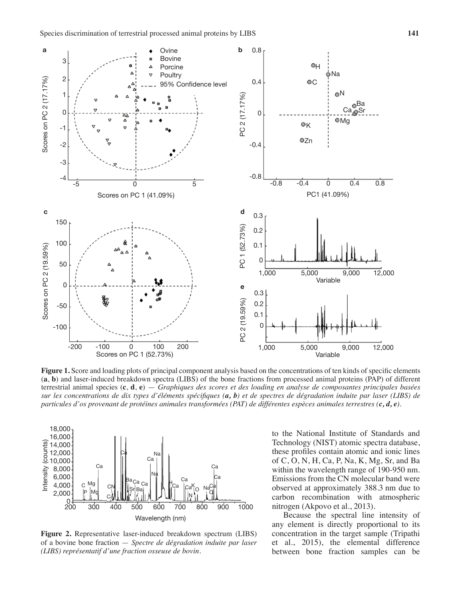

**Figure 1.** Score and loading plots of principal component analysis based on the concentrations of ten kinds of specific elements (**a**, **b**) and laser-induced breakdown spectra (LIBS) of the bone fractions from processed animal proteins (PAP) of different terrestrial animal species (**c**, **d**, **e**) — *Graphiques des scores et des loading en analyse de composantes principales basées sur les concentrations de dix types d'éléments spécifiques (a, b) et de spectres de dégradation induite par laser (LIBS) de particules d'os provenant de protéines animales transformées (PAT) de différentes espèces animales terrestres (c, d, e).*



**Figure 2.** Representative laser-induced breakdown spectrum (LIBS) of a bovine bone fraction — *Spectre de dégradation induite par laser (LIBS) représentatif d'une fraction osseuse de bovin.*

to the National Institute of Standards and Technology (NIST) atomic spectra database, these profiles contain atomic and ionic lines of C, O, N, H, Ca, P, Na, K, Mg, Sr, and Ba within the wavelength range of 190-950 nm. Emissions from the CN molecular band were observed at approximately 388.3 nm due to carbon recombination with atmospheric nitrogen (Akpovo et al., 2013).

Because the spectral line intensity of any element is directly proportional to its concentration in the target sample (Tripathi et al., 2015), the elemental difference between bone fraction samples can be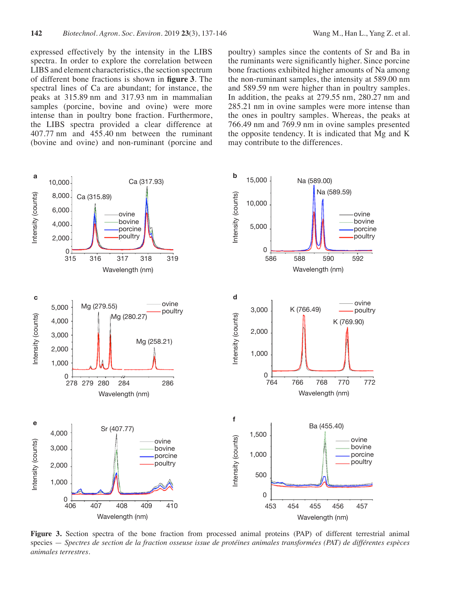expressed effectively by the intensity in the LIBS spectra. In order to explore the correlation between LIBS and element characteristics, the section spectrum of different bone fractions is shown in **figure 3**. The spectral lines of Ca are abundant; for instance, the peaks at 315.89 nm and 317.93 nm in mammalian samples (porcine, bovine and ovine) were more intense than in poultry bone fraction. Furthermore, the LIBS spectra provided a clear difference at 407.77 nm and 455.40 nm between the ruminant (bovine and ovine) and non-ruminant (porcine and poultry) samples since the contents of Sr and Ba in the ruminants were significantly higher. Since porcine bone fractions exhibited higher amounts of Na among the non-ruminant samples, the intensity at 589.00 nm and 589.59 nm were higher than in poultry samples. In addition, the peaks at 279.55 nm, 280.27 nm and 285.21 nm in ovine samples were more intense than the ones in poultry samples. Whereas, the peaks at 766.49 nm and 769.9 nm in ovine samples presented the opposite tendency. It is indicated that Mg and K may contribute to the differences.



**Figure 3.** Section spectra of the bone fraction from processed animal proteins (PAP) of different terrestrial animal species — *Spectres de section de la fraction osseuse issue de protéines animales transformées (PAT) de différentes espèces animales terrestres.*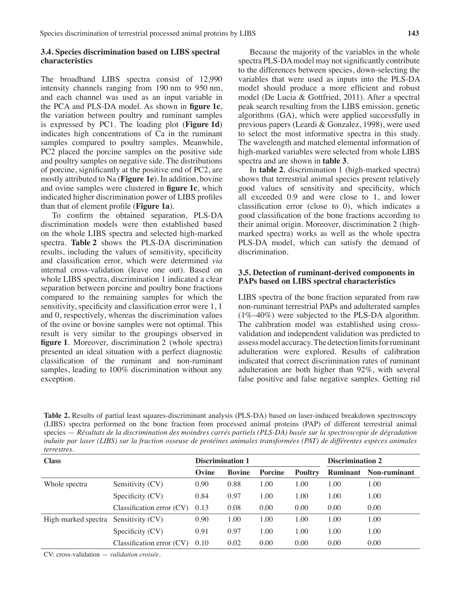## **3.4. Species discrimination based on LIBS spectral characteristics**

The broadband LIBS spectra consist of 12,990 intensity channels ranging from 190 nm to 950 nm, and each channel was used as an input variable in the PCA and PLS-DA model. As shown in **figure 1c**, the variation between poultry and ruminant samples is expressed by PC1. The loading plot (**Figure 1d**) indicates high concentrations of Ca in the ruminant samples compared to poultry samples. Meanwhile, PC2 placed the porcine samples on the positive side and poultry samples on negative side. The distributions of porcine, significantly at the positive end of PC2, are mostly attributed to Na (**Figure 1e**). In addition, bovine and ovine samples were clustered in **figure 1c**, which indicated higher discrimination power of LIBS profiles than that of element profile (**Figure 1a**).

To confirm the obtained separation, PLS-DA discrimination models were then established based on the whole LIBS spectra and selected high-marked spectra. **Table 2** shows the PLS-DA discrimination results, including the values of sensitivity, specificity and classification error, which were determined *via* internal cross-validation (leave one out). Based on whole LIBS spectra, discrimination 1 indicated a clear separation between porcine and poultry bone fractions compared to the remaining samples for which the sensitivity, specificity and classification error were 1, 1 and 0, respectively, whereas the discrimination values of the ovine or bovine samples were not optimal. This result is very similar to the groupings observed in **figure 1**. Moreover, discrimination 2 (whole spectra) presented an ideal situation with a perfect diagnostic classification of the ruminant and non-ruminant samples, leading to 100% discrimination without any exception.

Because the majority of the variables in the whole spectra PLS-DA model may not significantly contribute to the differences between species, down-selecting the variables that were used as inputs into the PLS-DA model should produce a more efficient and robust model (De Lucia & Gottfried, 2011). After a spectral peak search resulting from the LIBS emission, genetic algorithms (GA), which were applied successfully in previous papers (Leardi & Gonzalez, 1998), were used to select the most informative spectra in this study. The wavelength and matched elemental information of high-marked variables were selected from whole LIBS spectra and are shown in **table 3**.

In **table 2**, discrimination 1 (high-marked spectra) shows that terrestrial animal species present relatively good values of sensitivity and specificity, which all exceeded 0.9 and were close to 1, and lower classification error (close to 0), which indicates a good classification of the bone fractions according to their animal origin. Moreover, discrimination 2 (highmarked spectra) works as well as the whole spectra PLS-DA model, which can satisfy the demand of discrimination.

#### **3.5. Detection of ruminant-derived components in PAPs based on LIBS spectral characteristics**

LIBS spectra of the bone fraction separated from raw non-ruminant terrestrial PAPs and adulterated samples (1%–40%) were subjected to the PLS-DA algorithm. The calibration model was established using crossvalidation and independent validation was predicted to assess model accuracy. The detection limits for ruminant adulteration were explored. Results of calibration indicated that correct discrimination rates of ruminant adulteration are both higher than 92%, with several false positive and false negative samples. Getting rid

**Table 2.** Results of partial least squares-discriminant analysis (PLS-DA) based on laser-induced breakdown spectroscopy (LIBS) spectra performed on the bone fraction from processed animal proteins (PAP) of different terrestrial animal species — *Résultats de la discrimination des moindres carrés partiels (PLS-DA) basée sur la spectroscopie de dégradation induite par laser (LIBS) sur la fraction osseuse de protéines animales transformées (PAT) de différentes espèces animales terrestres*.

| <b>Class</b>                         |                             | <b>Discrimination 1</b> |               |                | <b>Discrimination 2</b> |      |                              |
|--------------------------------------|-----------------------------|-------------------------|---------------|----------------|-------------------------|------|------------------------------|
|                                      |                             | Ovine                   | <b>Bovine</b> | <b>Porcine</b> | <b>Poultry</b>          |      | <b>Ruminant</b> Non-ruminant |
| Whole spectra                        | Sensitivity (CV)            | 0.90                    | 0.88          | 1.00           | 1.00                    | 1.00 | 1.00                         |
|                                      | Specificity (CV)            | 0.84                    | 0.97          | 1.00           | 1.00                    | 1.00 | 1.00                         |
|                                      | Classification error $(CV)$ | 0.13                    | 0.08          | 0.00           | 0.00                    | 0.00 | 0.00                         |
| High-marked spectra Sensitivity (CV) |                             | 0.90                    | 1.00          | 1.00           | 1.00                    | 1.00 | 1.00                         |
|                                      | Specificity (CV)            | 0.91                    | 0.97          | 1.00           | 1.00                    | 1.00 | 1.00                         |
|                                      | Classification error (CV)   | 0.10                    | 0.02          | 0.00           | 0.00                    | 0.00 | 0.00                         |

CV: cross-validation — *validation croisée*.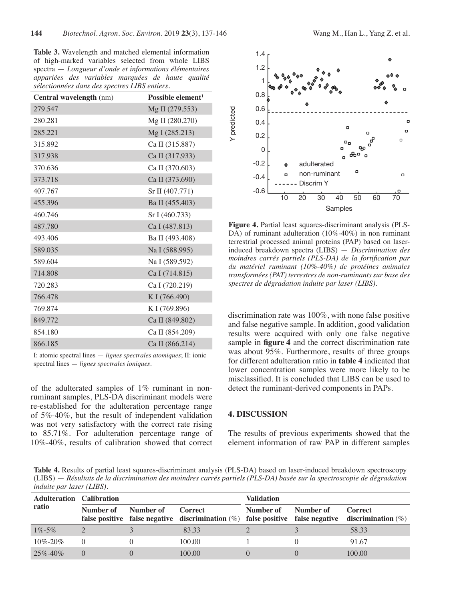**Table 3.** Wavelength and matched elemental information of high-marked variables selected from whole LIBS spectra — *Longueur d'onde et informations élémentaires appariées des variables marquées de haute qualité sélectionnées dans des spectres LIBS entiers.*

| Central wavelength (nm) | Possible element <sup>1</sup> |
|-------------------------|-------------------------------|
| 279.547                 | Mg II (279.553)               |
| 280.281                 | Mg II (280.270)               |
| 285.221                 | Mg I (285.213)                |
| 315.892                 | Ca II (315.887)               |
| 317.938                 | Ca II (317.933)               |
| 370.636                 | Ca II (370.603)               |
| 373.718                 | Ca II (373.690)               |
| 407.767                 | Sr II (407.771)               |
| 455.396                 | Ba II (455.403)               |
| 460.746                 | Sr I (460.733)                |
| 487.780                 | Ca I (487.813)                |
| 493.406                 | Ba II (493.408)               |
| 589.035                 | Na I (588.995)                |
| 589.604                 | Na I (589.592)                |
| 714.808                 | Ca I (714.815)                |
| 720.283                 | Ca I (720.219)                |
| 766.478                 | K I (766.490)                 |
| 769.874                 | K I (769.896)                 |
| 849.772                 | Ca II (849.802)               |
| 854.180                 | Ca II (854.209)               |
| 866.185                 | Ca II (866.214)               |

I: atomic spectral lines — *lignes spectrales atomiques*; II: ionic spectral lines — *lignes spectrales ioniques.*

of the adulterated samples of 1% ruminant in nonruminant samples, PLS-DA discriminant models were re-established for the adulteration percentage range of 5%-40%, but the result of independent validation was not very satisfactory with the correct rate rising to 85.71%. For adulteration percentage range of 10%-40%, results of calibration showed that correct



**Figure 4.** Partial least squares-discriminant analysis (PLS-DA) of ruminant adulteration (10%-40%) in non ruminant terrestrial processed animal proteins (PAP) based on laserinduced breakdown spectra (LIBS) — *Discrimination des moindres carrés partiels (PLS-DA) de la fortification par du matériel ruminant (10%-40%) de protéines animales transformées (PAT) terrestres de non-ruminants sur base des spectres de dégradation induite par laser (LIBS).*

discrimination rate was 100%, with none false positive and false negative sample. In addition, good validation results were acquired with only one false negative sample in **figure 4** and the correct discrimination rate was about 95%. Furthermore, results of three groups for different adulteration ratio in **table 4** indicated that lower concentration samples were more likely to be misclassified. It is concluded that LIBS can be used to detect the ruminant-derived components in PAPs.

#### **4. DISCUSSION**

The results of previous experiments showed that the element information of raw PAP in different samples

**Table 4.** Results of partial least squares-discriminant analysis (PLS-DA) based on laser-induced breakdown spectroscopy (LIBS) — *Résultats de la discrimination des moindres carrés partiels (PLS-DA) basée sur la spectroscopie de dégradation induite par laser (LIBS).*

| <b>Adulteration Calibration</b><br>ratio |                     |  |                                                                                                              | <b>Validation</b> |           |                |
|------------------------------------------|---------------------|--|--------------------------------------------------------------------------------------------------------------|-------------------|-----------|----------------|
|                                          | Number of Number of |  | Correct<br>false positive false negative discrimination (%) false positive false negative discrimination (%) | Number of         | Number of | <b>Correct</b> |
| $1\% - 5\%$                              |                     |  | 83.33                                                                                                        |                   |           | 58.33          |
| $10\% - 20\%$                            | $\left( \right)$    |  | 100.00                                                                                                       |                   |           | 91.67          |
| $25\% - 40\%$                            | $\Omega$            |  | 100.00                                                                                                       |                   |           | 100.00         |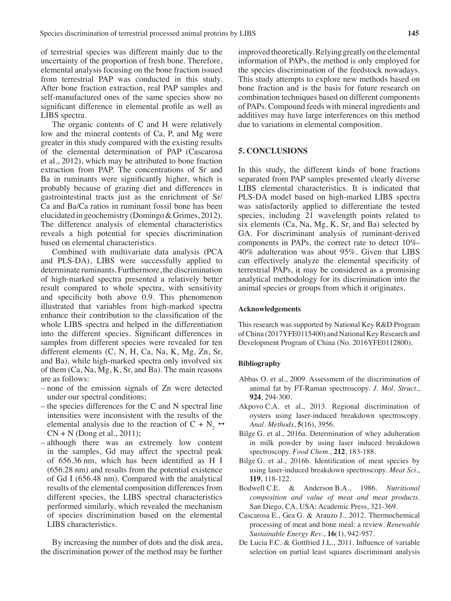of terrestrial species was different mainly due to the uncertainty of the proportion of fresh bone. Therefore, elemental analysis focusing on the bone fraction issued from terrestrial PAP was conducted in this study. After bone fraction extraction, real PAP samples and self-manufactured ones of the same species show no significant difference in elemental profile as well as LIBS spectra.

The organic contents of C and H were relatively low and the mineral contents of Ca, P, and Mg were greater in this study compared with the existing results of the elemental determination of PAP (Cascarosa et al., 2012), which may be attributed to bone fraction extraction from PAP. The concentrations of Sr and Ba in ruminants were significantly higher, which is probably because of grazing diet and differences in gastrointestinal tracts just as the enrichment of Sr/ Ca and Ba/Ca ratios in ruminant fossil bone has been elucidated in geochemistry (Domingo & Grimes, 2012). The difference analysis of elemental characteristics reveals a high potential for species discrimination based on elemental characteristics.

Combined with multivariate data analysis (PCA and PLS-DA), LIBS were successfully applied to determinate ruminants. Furthermore, the discrimination of high-marked spectra presented a relatively better result compared to whole spectra, with sensitivity and specificity both above 0.9. This phenomenon illustrated that variables from high-marked spectra enhance their contribution to the classification of the whole LIBS spectra and helped in the differentiation into the different species. Significant differences in samples from different species were revealed for ten different elements (C, N, H, Ca, Na, K, Mg, Zn, Sr, and Ba), while high-marked spectra only involved six of them (Ca, Na, Mg, K, Sr, and Ba). The main reasons are as follows:

- none of the emission signals of Zn were detected under our spectral conditions;
- the species differences for the C and N spectral line intensities were inconsistent with the results of the elemental analysis due to the reaction of C + N<sub>2</sub>  $\leftrightarrow$  $CN + N$  (Dong et al., 2011);
- although there was an extremely low content in the samples, Gd may affect the spectral peak of 656.36 nm, which has been identified as H I (656.28 nm) and results from the potential existence of Gd I (656.48 nm). Compared with the analytical results of the elemental composition differences from different species, the LIBS spectral characteristics performed similarly, which revealed the mechanism of species discrimination based on the elemental LIBS characteristics.

By increasing the number of dots and the disk area, the discrimination power of the method may be further improved theoretically. Relying greatly on the elemental information of PAPs, the method is only employed for the species discrimination of the feedstock nowadays. This study attempts to explore new methods based on bone fraction and is the basis for future research on combination techniques based on different components of PAPs. Compound feeds with mineral ingredients and additives may have large interferences on this method due to variations in elemental composition.

## **5. CONCLUSIONS**

In this study, the different kinds of bone fractions separated from PAP samples presented clearly diverse LIBS elemental characteristics. It is indicated that PLS-DA model based on high-marked LIBS spectra was satisfactorily applied to differentiate the tested species, including 21 wavelength points related to six elements (Ca, Na, Mg, K, Sr, and Ba) selected by GA. For discriminant analysis of ruminant-derived components in PAPs, the correct rate to detect 10%- 40% adulteration was about 95%. Given that LIBS can effectively analyze the elemental specificity of terrestrial PAPs, it may be considered as a promising analytical methodology for its discrimination into the animal species or groups from which it originates.

#### **Acknowledgements**

This research was supported by National Key R&D Program of China (2017YFE0115400) and National Key Research and Development Program of China (No. 2016YFE0112800).

#### **Bibliography**

- Abbas O. et al., 2009. Assessment of the discrimination of animal fat by FT-Raman spectroscopy. *J. Mol. Struct.*, **924**, 294-300.
- Akpovo C.A. et al., 2013. Regional discrimination of oysters using laser-induced breakdown spectroscopy. *Anal. Methods*, **5**(16), 3956.
- Bilge G. et al., 2016a. Determination of whey adulteration in milk powder by using laser induced breakdown spectroscopy. *Food Chem*., **212**, 183-188.
- Bilge G. et al., 2016b. Identification of meat species by using laser-induced breakdown spectroscopy. *Meat Sci*., **119**, 118-122.
- Bodwell C.E. & Anderson B.A., 1986. *Nutritional composition and value of meat and meat products*. San Diego, CA, USA: Academic Press, 321-369.
- Cascarosa E., Gea G. & Arauzo J., 2012. Thermochemical processing of meat and bone meal: a review. *Renewable Sustainable Energy Rev*., **16**(1), 942-957.
- De Lucia F.C. & Gottfried J.L., 2011. Influence of variable selection on partial least squares discriminant analysis